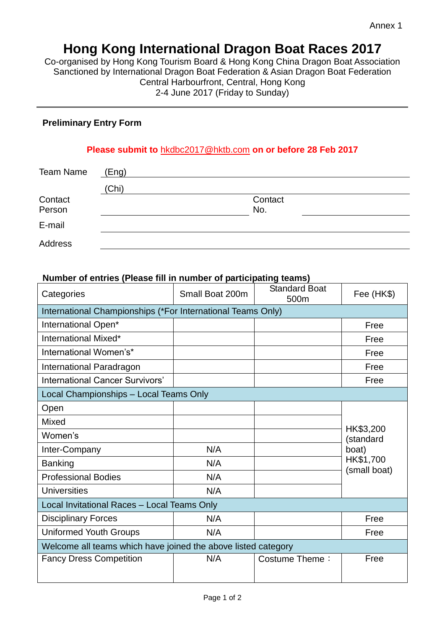# **Hong Kong International Dragon Boat Races 2017**

Co-organised by Hong Kong Tourism Board & Hong Kong China Dragon Boat Association Sanctioned by International Dragon Boat Federation & Asian Dragon Boat Federation Central Harbourfront, Central, Hong Kong 2-4 June 2017 (Friday to Sunday)

### **Preliminary Entry Form**

### **Please submit to** [hkdbc2017@hktb.com](mailto:hkdbc2017@hktb.com) **on or before 28 Feb 2017**

| <b>Team Name</b> | (Eng) |         |  |  |
|------------------|-------|---------|--|--|
|                  | (Chi) |         |  |  |
| Contact          |       | Contact |  |  |
| Person           |       | No.     |  |  |
| E-mail           |       |         |  |  |
| Address          |       |         |  |  |

#### **Number of entries (Please fill in number of participating teams)**

| Categories                                                    | Small Boat 200m | <b>Standard Boat</b><br>500m | Fee (HK\$)                         |  |  |  |
|---------------------------------------------------------------|-----------------|------------------------------|------------------------------------|--|--|--|
| International Championships (*For International Teams Only)   |                 |                              |                                    |  |  |  |
| International Open*                                           |                 |                              | Free                               |  |  |  |
| International Mixed*                                          |                 |                              | Free                               |  |  |  |
| International Women's*                                        |                 |                              | Free                               |  |  |  |
| International Paradragon                                      |                 |                              | Free                               |  |  |  |
| <b>International Cancer Survivors'</b>                        |                 |                              | Free                               |  |  |  |
| Local Championships - Local Teams Only                        |                 |                              |                                    |  |  |  |
| Open                                                          |                 |                              |                                    |  |  |  |
| <b>Mixed</b>                                                  |                 |                              | HK\$3,200                          |  |  |  |
| Women's                                                       |                 |                              | (standard                          |  |  |  |
| Inter-Company                                                 | N/A             |                              | boat)<br>HK\$1,700<br>(small boat) |  |  |  |
| <b>Banking</b>                                                | N/A             |                              |                                    |  |  |  |
| <b>Professional Bodies</b>                                    | N/A             |                              |                                    |  |  |  |
| <b>Universities</b>                                           | N/A             |                              |                                    |  |  |  |
| Local Invitational Races - Local Teams Only                   |                 |                              |                                    |  |  |  |
| <b>Disciplinary Forces</b>                                    | N/A             |                              | Free                               |  |  |  |
| <b>Uniformed Youth Groups</b>                                 | N/A             |                              | Free                               |  |  |  |
| Welcome all teams which have joined the above listed category |                 |                              |                                    |  |  |  |
| <b>Fancy Dress Competition</b>                                | N/A             | Costume Theme:               | Free                               |  |  |  |
|                                                               |                 |                              |                                    |  |  |  |